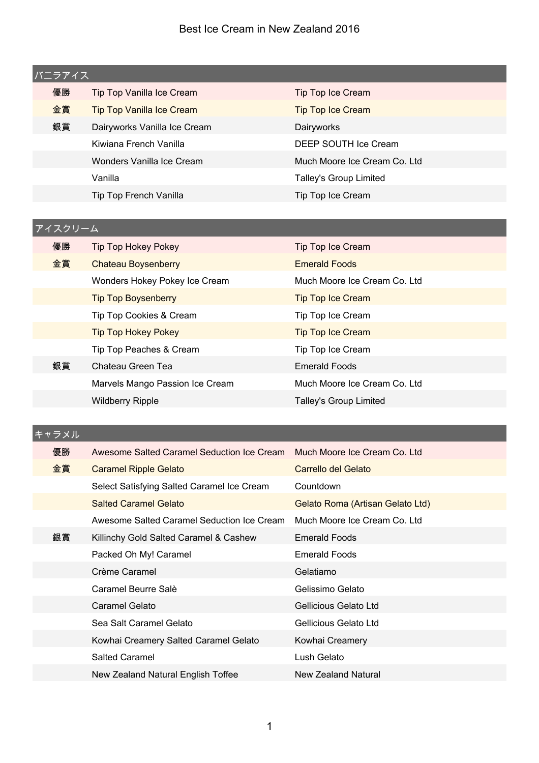| バニラアイス |    |                                  |                              |  |
|--------|----|----------------------------------|------------------------------|--|
|        | 優勝 | Tip Top Vanilla Ice Cream        | Tip Top Ice Cream            |  |
|        | 金賞 | <b>Tip Top Vanilla Ice Cream</b> | <b>Tip Top Ice Cream</b>     |  |
|        | 銀賞 | Dairyworks Vanilla Ice Cream     | Dairyworks                   |  |
|        |    | Kiwiana French Vanilla           | DEEP SOUTH Ice Cream         |  |
|        |    | Wonders Vanilla Ice Cream        | Much Moore Ice Cream Co. Ltd |  |
|        |    | Vanilla                          | Talley's Group Limited       |  |
|        |    | Tip Top French Vanilla           | Tip Top Ice Cream            |  |
|        |    |                                  |                              |  |

# **優勝 Tip Top Hokey Pokey Tip Top Ice Cream 金賞 Chateau Boysenberry Emerald Foods** Wonders Hokey Pokey Ice Cream Much Moore Ice Cream Co. Ltd Tip Top Boysenberry Tip Top Ice Cream Tip Top Cookies & Cream Tip Top Ice Cream Tip Top Hokey Pokey Tip Top Ice Cream Tip Top Peaches & Cream Tip Top Ice Cream 銀賞 Chateau Green Tea **Emerald Foods** Marvels Mango Passion Ice Cream Much Moore Ice Cream Co. Ltd Wildberry Ripple Talley's Group Limited アイスクリーム

#### キャラメル

| 優勝 | Awesome Salted Caramel Seduction Ice Cream | Much Moore Ice Cream Co. Ltd.    |  |
|----|--------------------------------------------|----------------------------------|--|
| 金賞 | <b>Caramel Ripple Gelato</b>               | Carrello del Gelato              |  |
|    | Select Satisfying Salted Caramel Ice Cream | Countdown                        |  |
|    | <b>Salted Caramel Gelato</b>               | Gelato Roma (Artisan Gelato Ltd) |  |
|    | Awesome Salted Caramel Seduction Ice Cream | Much Moore Ice Cream Co. Ltd     |  |
| 銀賞 | Killinchy Gold Salted Caramel & Cashew     | <b>Emerald Foods</b>             |  |
|    | Packed Oh My! Caramel                      | <b>Emerald Foods</b>             |  |
|    | Crème Caramel                              | Gelatiamo                        |  |
|    | Caramel Beurre Salè                        | Gelissimo Gelato                 |  |
|    | Caramel Gelato                             | Gellicious Gelato Ltd            |  |
|    | Sea Salt Caramel Gelato                    | Gellicious Gelato Ltd            |  |
|    | Kowhai Creamery Salted Caramel Gelato      | Kowhai Creamery                  |  |
|    | Salted Caramel                             | Lush Gelato                      |  |
|    | New Zealand Natural English Toffee         | New Zealand Natural              |  |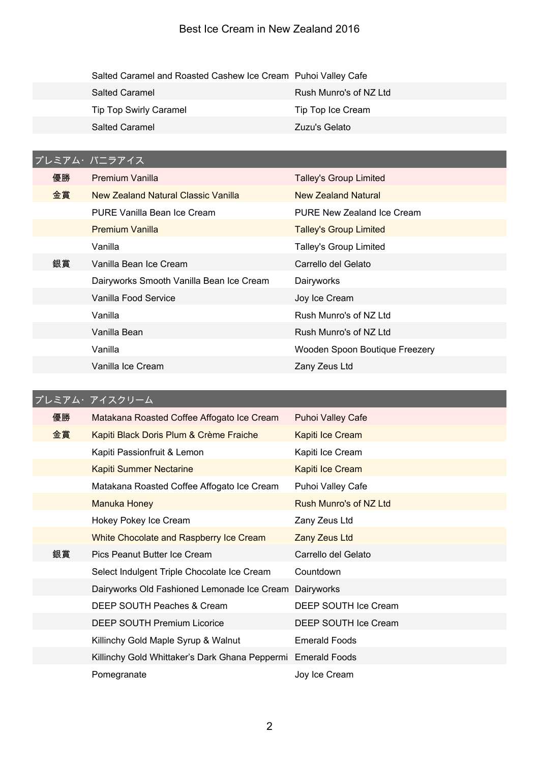| Salted Caramel and Roasted Cashew Ice Cream Puhoi Valley Cafe |                        |
|---------------------------------------------------------------|------------------------|
| <b>Salted Caramel</b>                                         | Rush Munro's of NZ Ltd |
| <b>Tip Top Swirly Caramel</b>                                 | Tip Top Ice Cream      |
| <b>Salted Caramel</b>                                         | Zuzu's Gelato          |

# プレミアム・バニラアイス

| 優勝 | <b>Premium Vanilla</b>                   | <b>Talley's Group Limited</b>  |
|----|------------------------------------------|--------------------------------|
| 金賞 | New Zealand Natural Classic Vanilla      | New Zealand Natural            |
|    | PURE Vanilla Bean Ice Cream              | PURE New Zealand Ice Cream     |
|    | <b>Premium Vanilla</b>                   | <b>Talley's Group Limited</b>  |
|    | Vanilla                                  | Talley's Group Limited         |
| 銀賞 | Vanilla Bean Ice Cream                   | Carrello del Gelato            |
|    | Dairyworks Smooth Vanilla Bean Ice Cream | Dairyworks                     |
|    | Vanilla Food Service                     | Joy Ice Cream                  |
|    | Vanilla                                  | Rush Munro's of NZ Ltd         |
|    | Vanilla Bean                             | Rush Munro's of NZ Ltd         |
|    | Vanilla                                  | Wooden Spoon Boutique Freezery |
|    | Vanilla Ice Cream                        | Zany Zeus Ltd                  |

# プレミアム・アイスクリーム

| 優勝 | Matakana Roasted Coffee Affogato Ice Cream                   | <b>Puhoi Valley Cafe</b> |
|----|--------------------------------------------------------------|--------------------------|
| 金賞 | Kapiti Black Doris Plum & Crème Fraiche                      | Kapiti Ice Cream         |
|    | Kapiti Passionfruit & Lemon                                  | Kapiti Ice Cream         |
|    | <b>Kapiti Summer Nectarine</b>                               | Kapiti Ice Cream         |
|    | Matakana Roasted Coffee Affogato Ice Cream                   | Puhoi Valley Cafe        |
|    | <b>Manuka Honey</b>                                          | Rush Munro's of NZ Ltd   |
|    | Hokey Pokey Ice Cream                                        | Zany Zeus Ltd            |
|    | White Chocolate and Raspberry Ice Cream                      | Zany Zeus Ltd            |
|    |                                                              |                          |
| 銀賞 | Pics Peanut Butter Ice Cream                                 | Carrello del Gelato      |
|    | Select Indulgent Triple Chocolate Ice Cream                  | Countdown                |
|    | Dairyworks Old Fashioned Lemonade Ice Cream Dairyworks       |                          |
|    | DEEP SOUTH Peaches & Cream                                   | DEEP SOUTH Ice Cream     |
|    | <b>DEEP SOUTH Premium Licorice</b>                           | DEEP SOUTH Ice Cream     |
|    | Killinchy Gold Maple Syrup & Walnut                          | <b>Emerald Foods</b>     |
|    | Killinchy Gold Whittaker's Dark Ghana Peppermi Emerald Foods |                          |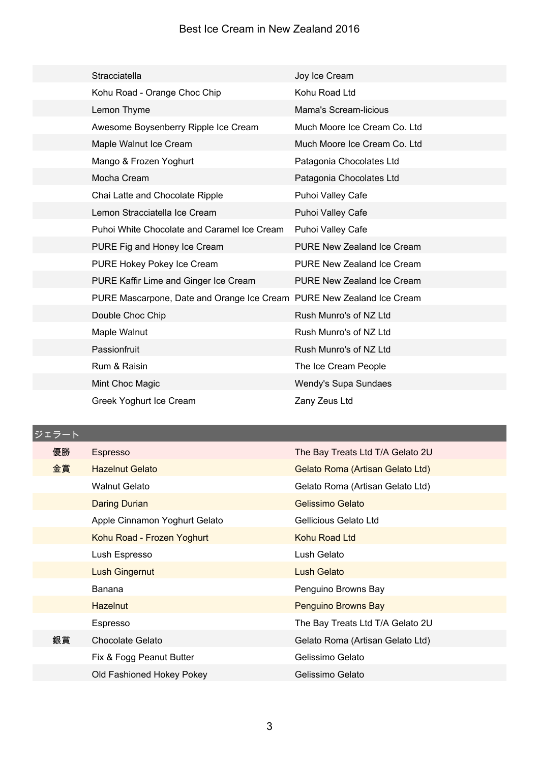| Stracciatella                                                         | Joy Ice Cream                     |
|-----------------------------------------------------------------------|-----------------------------------|
| Kohu Road - Orange Choc Chip                                          | Kohu Road Ltd                     |
| Lemon Thyme                                                           | <b>Mama's Scream-licious</b>      |
| Awesome Boysenberry Ripple Ice Cream                                  | Much Moore Ice Cream Co. Ltd      |
| Maple Walnut Ice Cream                                                | Much Moore Ice Cream Co. Ltd      |
| Mango & Frozen Yoghurt                                                | Patagonia Chocolates Ltd          |
| Mocha Cream                                                           | Patagonia Chocolates Ltd          |
| Chai Latte and Chocolate Ripple                                       | Puhoi Valley Cafe                 |
| Lemon Stracciatella Ice Cream                                         | Puhoi Valley Cafe                 |
| Puhoi White Chocolate and Caramel Ice Cream                           | Puhoi Valley Cafe                 |
| PURE Fig and Honey Ice Cream                                          | PURE New Zealand Ice Cream        |
| PURE Hokey Pokey Ice Cream                                            | <b>PURE New Zealand Ice Cream</b> |
| PURE Kaffir Lime and Ginger Ice Cream                                 | <b>PURE New Zealand Ice Cream</b> |
| PURE Mascarpone, Date and Orange Ice Cream PURE New Zealand Ice Cream |                                   |
| Double Choc Chip                                                      | Rush Munro's of NZ Ltd            |
| Maple Walnut                                                          | Rush Munro's of NZ Ltd            |
| Passionfruit                                                          | Rush Munro's of NZ Ltd            |
| Rum & Raisin                                                          | The Ice Cream People              |
| Mint Choc Magic                                                       | Wendy's Supa Sundaes              |
| Greek Yoghurt Ice Cream                                               | Zany Zeus Ltd                     |

ジェラート

| 優勝 | Espresso                      | The Bay Treats Ltd T/A Gelato 2U |
|----|-------------------------------|----------------------------------|
| 金賞 | <b>Hazelnut Gelato</b>        | Gelato Roma (Artisan Gelato Ltd) |
|    | <b>Walnut Gelato</b>          | Gelato Roma (Artisan Gelato Ltd) |
|    | <b>Daring Durian</b>          | Gelissimo Gelato                 |
|    | Apple Cinnamon Yoghurt Gelato | Gellicious Gelato Ltd            |
|    | Kohu Road - Frozen Yoghurt    | Kohu Road Ltd                    |
|    | Lush Espresso                 | Lush Gelato                      |
|    | <b>Lush Gingernut</b>         | Lush Gelato                      |
|    | Banana                        | Penguino Browns Bay              |
|    | <b>Hazelnut</b>               | Penguino Browns Bay              |
|    | Espresso                      | The Bay Treats Ltd T/A Gelato 2U |
| 銀賞 | Chocolate Gelato              | Gelato Roma (Artisan Gelato Ltd) |
|    | Fix & Fogg Peanut Butter      | Gelissimo Gelato                 |
|    | Old Fashioned Hokey Pokey     | Gelissimo Gelato                 |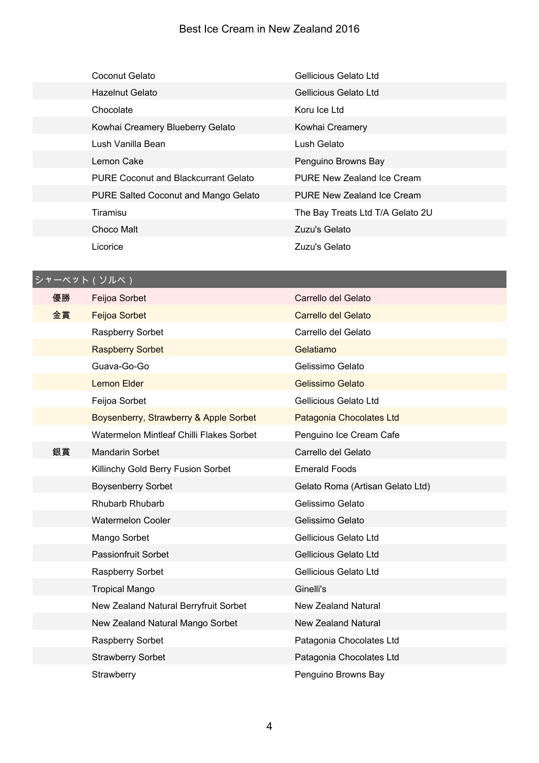| Coconut Gelato                              | Gellicious Gelato Ltd            |
|---------------------------------------------|----------------------------------|
| Hazelnut Gelato                             | Gellicious Gelato Ltd            |
| Chocolate                                   | Koru Ice Ltd                     |
| Kowhai Creamery Blueberry Gelato            | Kowhai Creamery                  |
| Lush Vanilla Bean                           | Lush Gelato                      |
| Lemon Cake                                  | Penguino Browns Bay              |
| <b>PURE Coconut and Blackcurrant Gelato</b> | PURE New Zealand Ice Cream       |
| PURE Salted Coconut and Mango Gelato        | PURE New Zealand Ice Cream       |
| Tiramisu                                    | The Bay Treats Ltd T/A Gelato 2U |
| Choco Malt                                  | Zuzu's Gelato                    |
| Licorice                                    | Zuzu's Gelato                    |

# シャーベット(ソルベ)

| 優勝 | Feijoa Sorbet                            | Carrello del Gelato              |
|----|------------------------------------------|----------------------------------|
| 金賞 | <b>Feijoa Sorbet</b>                     | Carrello del Gelato              |
|    | Raspberry Sorbet                         | Carrello del Gelato              |
|    | <b>Raspberry Sorbet</b>                  | Gelatiamo                        |
|    | Guava-Go-Go                              | Gelissimo Gelato                 |
|    | <b>Lemon Elder</b>                       | Gelissimo Gelato                 |
|    | Feijoa Sorbet                            | Gellicious Gelato Ltd            |
|    | Boysenberry, Strawberry & Apple Sorbet   | Patagonia Chocolates Ltd         |
|    | Watermelon Mintleaf Chilli Flakes Sorbet | Penguino Ice Cream Cafe          |
| 銀賞 | <b>Mandarin Sorbet</b>                   | Carrello del Gelato              |
|    | Killinchy Gold Berry Fusion Sorbet       | <b>Emerald Foods</b>             |
|    | <b>Boysenberry Sorbet</b>                | Gelato Roma (Artisan Gelato Ltd) |
|    | Rhubarb Rhubarb                          | Gelissimo Gelato                 |
|    | <b>Watermelon Cooler</b>                 | Gelissimo Gelato                 |
|    | Mango Sorbet                             | Gellicious Gelato Ltd            |
|    | <b>Passionfruit Sorbet</b>               | Gellicious Gelato Ltd            |
|    | Raspberry Sorbet                         | Gellicious Gelato Ltd            |
|    | <b>Tropical Mango</b>                    | Ginelli's                        |
|    | New Zealand Natural Berryfruit Sorbet    | <b>New Zealand Natural</b>       |
|    | New Zealand Natural Mango Sorbet         | New Zealand Natural              |
|    | Raspberry Sorbet                         | Patagonia Chocolates Ltd         |
|    | <b>Strawberry Sorbet</b>                 | Patagonia Chocolates Ltd         |
|    | Strawberry                               | Penguino Browns Bay              |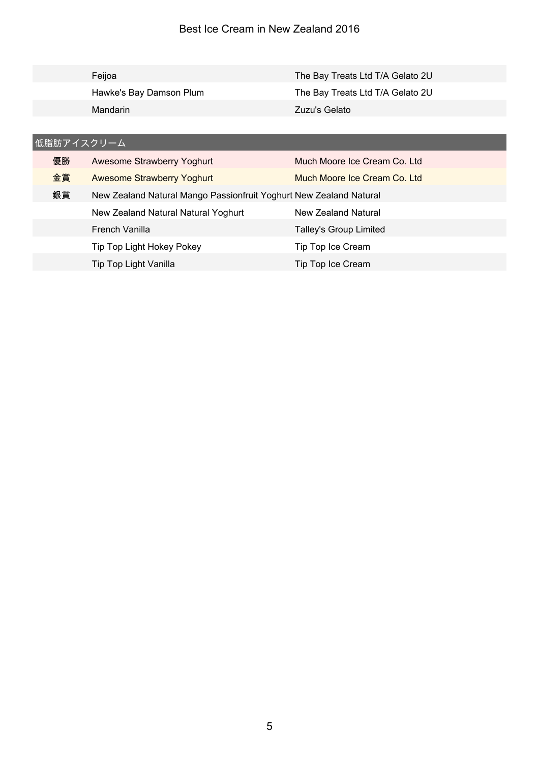|            | Feijoa                            | The Bay Treats Ltd T/A Gelato 2U |  |  |
|------------|-----------------------------------|----------------------------------|--|--|
|            | Hawke's Bay Damson Plum           | The Bay Treats Ltd T/A Gelato 2U |  |  |
|            | Mandarin                          | Zuzu's Gelato                    |  |  |
|            |                                   |                                  |  |  |
| 低脂肪アイスクリーム |                                   |                                  |  |  |
| 優勝         | Awesome Strawberry Yoghurt        | Much Moore Ice Cream Co. Ltd.    |  |  |
| 金賞         | <b>Awesome Strawberry Yoghurt</b> | Much Moore Ice Cream Co. Ltd     |  |  |

| 銀賞 | New Zealand Natural Mango Passionfruit Yoghurt New Zealand Natural |                        |
|----|--------------------------------------------------------------------|------------------------|
|    | New Zealand Natural Natural Yoghurt                                | New Zealand Natural    |
|    | French Vanilla                                                     | Talley's Group Limited |
|    | Tip Top Light Hokey Pokey                                          | Tip Top Ice Cream      |
|    | Tip Top Light Vanilla                                              | Tip Top Ice Cream      |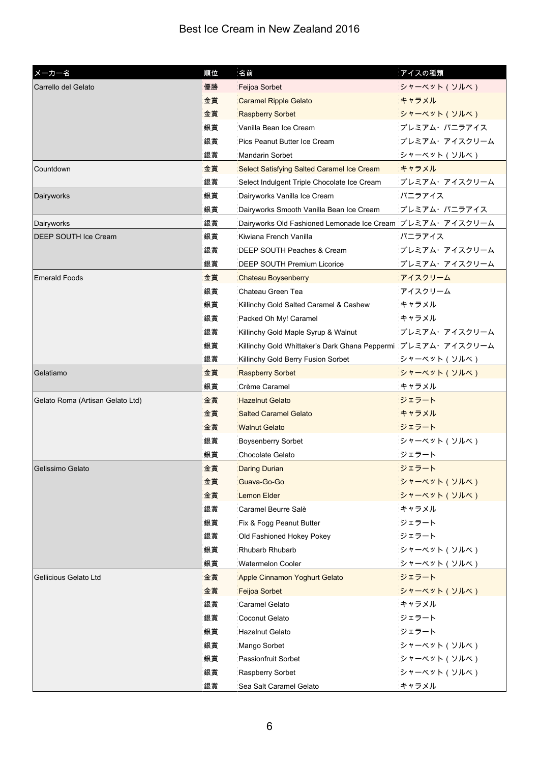| メーカー名                            | 順位 | 名前                                                           | アイスの種類        |
|----------------------------------|----|--------------------------------------------------------------|---------------|
| Carrello del Gelato              | 優勝 | Feijoa Sorbet                                                | シャーベット (ソルベ)  |
|                                  | 金賞 | <b>Caramel Ripple Gelato</b>                                 | キャラメル         |
|                                  | 金賞 | <b>Raspberry Sorbet</b>                                      | シャーベット (ソルベ)  |
|                                  | 銀賞 | Vanilla Bean Ice Cream                                       | プレミアム・バニラアイス  |
|                                  | 銀賞 | Pics Peanut Butter Ice Cream                                 | プレミアム・アイスクリーム |
|                                  | 銀賞 | <b>Mandarin Sorbet</b>                                       | シャーベット(ソルベ)   |
| Countdown                        | 金賞 | Select Satisfying Salted Caramel Ice Cream                   | キャラメル         |
|                                  | 銀賞 | Select Indulgent Triple Chocolate Ice Cream                  | プレミアム・アイスクリーム |
| Dairyworks                       | 銀賞 | Dairyworks Vanilla Ice Cream                                 | バニラアイス        |
|                                  | 銀賞 | Dairyworks Smooth Vanilla Bean Ice Cream                     | プレミアム・バニラアイス  |
| Dairyworks                       | 銀賞 | Dairyworks Old Fashioned Lemonade Ice Cream プレミアム・アイスクリーム    |               |
| DEEP SOUTH Ice Cream             | 銀賞 | Kiwiana French Vanilla                                       | バニラアイス        |
|                                  | 銀賞 | DEEP SOUTH Peaches & Cream                                   | プレミアム・アイスクリーム |
|                                  | 銀賞 | <b>DEEP SOUTH Premium Licorice</b>                           | プレミアム・アイスクリーム |
| <b>Emerald Foods</b>             | 金賞 | <b>Chateau Boysenberry</b>                                   | アイスクリーム       |
|                                  | 銀賞 | Chateau Green Tea                                            | アイスクリーム       |
|                                  | 銀賞 | Killinchy Gold Salted Caramel & Cashew                       | キャラメル         |
|                                  | 銀賞 | Packed Oh My! Caramel                                        | キャラメル         |
|                                  | 銀賞 | Killinchy Gold Maple Syrup & Walnut                          | プレミアム・アイスクリーム |
|                                  | 銀賞 | Killinchy Gold Whittaker's Dark Ghana Peppermi フレミアム・アイスクリーム |               |
|                                  | 銀賞 | Killinchy Gold Berry Fusion Sorbet                           | シャーベット(ソルベ)   |
| Gelatiamo                        | 金賞 | <b>Raspberry Sorbet</b>                                      | シャーベット (ソルベ)  |
|                                  | 銀賞 | Crème Caramel                                                | キャラメル         |
| Gelato Roma (Artisan Gelato Ltd) | 金賞 | <b>Hazelnut Gelato</b>                                       | ジェラート         |
|                                  | 金賞 | <b>Salted Caramel Gelato</b>                                 | キャラメル         |
|                                  | 金賞 | <b>Walnut Gelato</b>                                         | ジェラート         |
|                                  | 銀賞 | <b>Boysenberry Sorbet</b>                                    | シャーベット (ソルベ)  |
|                                  | 銀賞 | Chocolate Gelato                                             | ジェラート         |
| Gelissimo Gelato                 | 金賞 | <b>Daring Durian</b>                                         | ジェラート         |
|                                  | 金賞 | Guava-Go-Go                                                  | シャーベット (ソルベ)  |
|                                  | 金賞 | Lemon Elder                                                  | シャーベット (ソルベ)  |
|                                  | 銀賞 | Caramel Beurre Salè                                          | キャラメル         |
|                                  | 銀賞 | Fix & Fogg Peanut Butter                                     | ジェラート         |
|                                  | 銀賞 | Old Fashioned Hokey Pokey                                    | ジェラート         |
|                                  | 銀賞 | Rhubarb Rhubarb                                              | シャーベット(ソルベ)   |
|                                  | 銀賞 | <b>Watermelon Cooler</b>                                     | シャーベット(ソルベ)   |
| Gellicious Gelato Ltd            | 金賞 | Apple Cinnamon Yoghurt Gelato                                | ジェラート         |
|                                  | 金賞 | Feijoa Sorbet                                                | シャーベット (ソルベ)  |
|                                  | 銀賞 | Caramel Gelato                                               | キャラメル         |
|                                  | 銀賞 | Coconut Gelato                                               | ジェラート         |
|                                  | 銀賞 | <b>Hazelnut Gelato</b>                                       | ジェラート         |
|                                  | 銀賞 | Mango Sorbet                                                 | シャーベット(ソルベ)   |
|                                  | 銀賞 | <b>Passionfruit Sorbet</b>                                   | シャーベット (ソルベ)  |
|                                  | 銀賞 | Raspberry Sorbet                                             | シャーベット (ソルベ)  |
|                                  | 銀賞 | Sea Salt Caramel Gelato                                      | キャラメル         |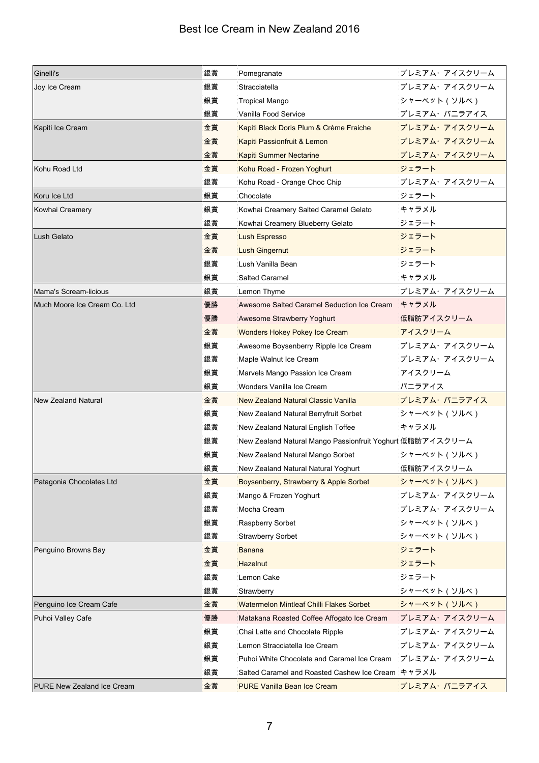| Ginelli's                    | 銀賞 | Pomegranate                                               | プレミアム・アイスクリーム        |
|------------------------------|----|-----------------------------------------------------------|----------------------|
| Joy Ice Cream                | 銀賞 | Stracciatella                                             | プレミアム・アイスクリーム        |
|                              | 銀賞 | Tropical Mango                                            | シャーベット (ソルベ)         |
|                              | 銀賞 | Vanilla Food Service                                      | プレミアム・バニラアイス         |
| Kapiti Ice Cream             | 金賞 | Kapiti Black Doris Plum & Crème Fraiche                   | プレミアム・アイスクリーム        |
|                              | 金賞 | Kapiti Passionfruit & Lemon                               | プレミアム・アイスクリーム        |
|                              | 金賞 | Kapiti Summer Nectarine                                   | プレミアム・アイスクリーム        |
| Kohu Road Ltd                | 金賞 | Kohu Road - Frozen Yoghurt                                | ジェラート                |
|                              | 銀賞 | Kohu Road - Orange Choc Chip                              | プレミアム・アイスクリーム        |
| Koru Ice Ltd                 | 銀賞 | Chocolate                                                 | ジェラート                |
| Kowhai Creamery              | 銀賞 | Kowhai Creamery Salted Caramel Gelato                     | キャラメル                |
|                              | 銀賞 | Kowhai Creamery Blueberry Gelato                          | ジェラート                |
| Lush Gelato                  | 金賞 | Lush Espresso                                             | ジェラート                |
|                              | 金賞 | Lush Gingernut                                            | ジェラート                |
|                              | 銀賞 | Lush Vanilla Bean                                         | ジェラート                |
|                              | 銀賞 | Salted Caramel                                            | キャラメル                |
| Mama's Scream-licious        | 銀賞 | Lemon Thyme                                               | プレミアム・アイスクリーム        |
| Much Moore Ice Cream Co. Ltd | 優勝 | Awesome Salted Caramel Seduction Ice Cream                | キャラメル                |
|                              | 優勝 | Awesome Strawberry Yoghurt                                | 低脂肪アイスクリーム           |
|                              | 金賞 | <b>Wonders Hokey Pokey Ice Cream</b>                      | アイスクリーム              |
|                              | 銀賞 | Awesome Boysenberry Ripple Ice Cream                      | <i>プレミアム・アイスクリーム</i> |
|                              | 銀賞 | Maple Walnut Ice Cream                                    | プレミアム・アイスクリーム        |
|                              | 銀賞 | Marvels Mango Passion Ice Cream                           | アイスクリーム              |
|                              | 銀賞 | Wonders Vanilla Ice Cream                                 | バニラアイス               |
| <b>New Zealand Natural</b>   | 金賞 | New Zealand Natural Classic Vanilla                       | プレミアム・バニラアイス         |
|                              | 銀賞 | New Zealand Natural Berryfruit Sorbet                     | シャーベット(ソルベ)          |
|                              | 銀賞 | New Zealand Natural English Toffee                        | キャラメル                |
|                              | 銀賞 | New Zealand Natural Mango Passionfruit Yoghurt 低脂肪アイスクリーム |                      |
|                              | 銀賞 | New Zealand Natural Mango Sorbet                          | シャーベット(ソルベ)          |
|                              | 銀賞 | New Zealand Natural Natural Yoghurt                       | 低脂肪アイスクリーム           |
| Patagonia Chocolates Ltd     | 金賞 | Boysenberry, Strawberry & Apple Sorbet                    | シャーベット (ソルベ)         |
|                              | 銀賞 | Mango & Frozen Yoghurt                                    | プレミアム・アイスクリーム        |
|                              | 銀賞 | Mocha Cream                                               | プレミアム・アイスクリーム        |
|                              | 銀賞 | Raspberry Sorbet                                          | シャーベット(ソルベ)          |
|                              | 銀賞 | <b>Strawberry Sorbet</b>                                  | シャーベット(ソルベ)          |
| Penguino Browns Bay          | 金賞 | Banana                                                    | ジェラート                |
|                              | 金賞 | Hazelnut                                                  | ジェラート                |
|                              | 銀賞 | Lemon Cake                                                | ジェラート                |
|                              | 銀賞 | Strawberry                                                | シャーベット (ソルベ)         |
| Penguino Ice Cream Cafe      | 金賞 | Watermelon Mintleaf Chilli Flakes Sorbet                  | シャーベット(ソルベ)          |
| Puhoi Valley Cafe            | 優勝 | Matakana Roasted Coffee Affogato Ice Cream                | プレミアム・アイスクリーム        |
|                              | 銀賞 | Chai Latte and Chocolate Ripple                           | プレミアム・アイスクリーム        |
|                              | 銀賞 | Lemon Stracciatella Ice Cream                             | プレミアム・アイスクリーム        |
|                              | 銀賞 | Puhoi White Chocolate and Caramel Ice Cream               | プレミアム・アイスクリーム        |
|                              | 銀賞 | Salted Caramel and Roasted Cashew Ice Cream キャラメル         |                      |
| PURE New Zealand Ice Cream   | 金賞 | <b>PURE Vanilla Bean Ice Cream</b>                        | プレミアム・バニラアイス         |